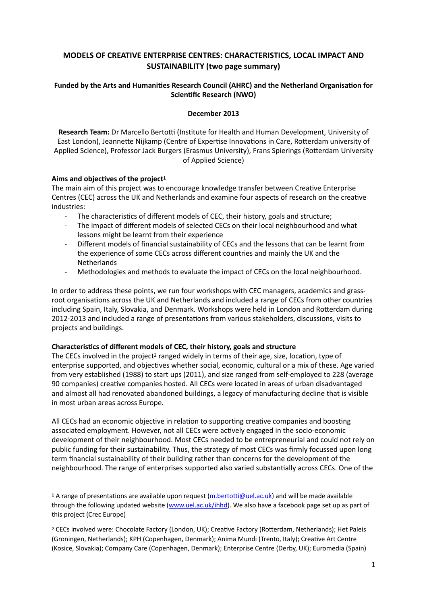# **MODELS OF CREATIVE ENTERPRISE CENTRES: CHARACTERISTICS, LOCAL IMPACT AND SUSTAINABILITY (two page summary)**

# Funded by the Arts and Humanities Research Council (AHRC) and the Netherland Organisation for **Scientific Research (NWO)**

### <span id="page-0-2"></span>**December 2013**

**Research Team:** Dr Marcello Bertotti (Institute for Health and Human Development, University of East London), Jeannette Nijkamp (Centre of Expertise Innovations in Care, Rotterdam university of Applied Science), Professor Jack Burgers (Erasmus University), Frans Spierings (Rotterdam University of Applied Science)

# Aims and objectives of the project<sup>[1](#page-0-0)</sup>

The main aim of this project was to encourage knowledge transfer between Creative Enterprise Centres (CEC) across the UK and Netherlands and examine four aspects of research on the creative industries:

- The characteristics of different models of CEC, their history, goals and structure;
- The impact of different models of selected CECs on their local neighbourhood and what lessons might be learnt from their experience
- Different models of financial sustainability of CECs and the lessons that can be learnt from the experience of some CECs across different countries and mainly the UK and the **Netherlands**
- Methodologies and methods to evaluate the impact of CECs on the local neighbourhood.

In order to address these points, we run four workshops with CEC managers, academics and grassroot organisations across the UK and Netherlands and included a range of CECs from other countries including Spain, Italy, Slovakia, and Denmark. Workshops were held in London and Rotterdam during 2012-2013 and included a range of presentations from various stakeholders, discussions, visits to projects and buildings.

### **Characteristics of different models of CEC, their history, goals and structure**

<span id="page-0-3"></span>The CECs involved in the project<sup>[2](#page-0-1)</sup> ranged widely in terms of their age, size, location, type of enterprise supported, and objectives whether social, economic, cultural or a mix of these. Age varied from very established (1988) to start ups (2011), and size ranged from self-employed to 228 (average 90 companies) creative companies hosted. All CECs were located in areas of urban disadvantaged and almost all had renovated abandoned buildings, a legacy of manufacturing decline that is visible in most urban areas across Europe.

All CECs had an economic objective in relation to supporting creative companies and boosting associated employment. However, not all CECs were actively engaged in the socio-economic development of their neighbourhood. Most CECs needed to be entrepreneurial and could not rely on public funding for their sustainability. Thus, the strategy of most CECs was firmly focussed upon long term financial sustainability of their building rather than concerns for the development of the neighbourhood. The range of enterprises supported also varied substantially across CECs. One of the

<span id="page-0-0"></span><sup>&</sup>lt;sup>[1](#page-0-2)</sup> A range of presentations are available upon request (m.bertotti@uel.ac.uk) and will be made available through the following updated website [\(www.uel.ac.uk/ihhd\)](http://www.uel.ac.uk/ihhd). We also have a facebook page set up as part of this project (Crec Europe)

<span id="page-0-1"></span><sup>&</sup>lt;sup>[2](#page-0-3)</sup> CECs involved were: Chocolate Factory (London, UK); Creative Factory (Rotterdam, Netherlands); Het Paleis (Groningen, Netherlands); KPH (Copenhagen, Denmark); Anima Mundi (Trento, Italy); Creative Art Centre (Kosice, Slovakia); Company Care (Copenhagen, Denmark); Enterprise Centre (Derby, UK); Euromedia (Spain)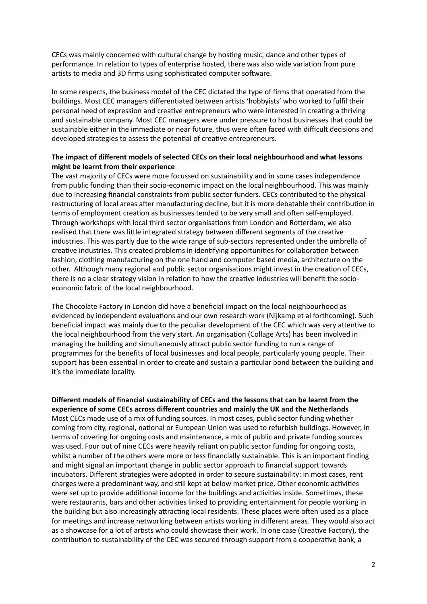CECs was mainly concerned with cultural change by hosting music, dance and other types of performance. In relation to types of enterprise hosted, there was also wide variation from pure artists to media and 3D firms using sophisticated computer software.

In some respects, the business model of the CEC dictated the type of firms that operated from the buildings. Most CEC managers differentiated between artists 'hobbyists' who worked to fulfil their personal need of expression and creative entrepreneurs who were interested in creating a thriving and sustainable company. Most CEC managers were under pressure to host businesses that could be sustainable either in the immediate or near future, thus were often faced with difficult decisions and developed strategies to assess the potential of creative entrepreneurs.

# **The impact of different models of selected CECs on their local neighbourhood and what lessons might be learnt from their experience**

The vast majority of CECs were more focussed on sustainability and in some cases independence from public funding than their socio-economic impact on the local neighbourhood. This was mainly due to increasing financial constraints from public sector funders. CECs contributed to the physical restructuring of local areas after manufacturing decline, but it is more debatable their contribution in terms of employment creation as businesses tended to be very small and often self-employed. Through workshops with local third sector organisations from London and Rotterdam, we also realised that there was little integrated strategy between different segments of the creative industries. This was partly due to the wide range of sub-sectors represented under the umbrella of creative industries. This created problems in identifying opportunities for collaboration between fashion, clothing manufacturing on the one hand and computer based media, architecture on the other. Although many regional and public sector organisations might invest in the creation of CECs, there is no a clear strategy vision in relation to how the creative industries will benefit the socioeconomic fabric of the local neighbourhood.

The Chocolate Factory in London did have a beneficial impact on the local neighbourhood as evidenced by independent evaluations and our own research work (Nijkamp et al forthcoming). Such beneficial impact was mainly due to the peculiar development of the CEC which was very attentive to the local neighbourhood from the very start. An organisation (Collage Arts) has been involved in managing the building and simultaneously attract public sector funding to run a range of programmes for the benefits of local businesses and local people, particularly young people. Their support has been essential in order to create and sustain a particular bond between the building and it's the immediate locality.

**Different models of financial sustainability of CECs and the lessons that can be learnt from the experience of some CECs across different countries and mainly the UK and the Netherlands**  Most CECs made use of a mix of funding sources. In most cases, public sector funding whether coming from city, regional, national or European Union was used to refurbish buildings. However, in terms of covering for ongoing costs and maintenance, a mix of public and private funding sources was used. Four out of nine CECs were heavily reliant on public sector funding for ongoing costs, whilst a number of the others were more or less financially sustainable. This is an important finding and might signal an important change in public sector approach to financial support towards incubators. Different strategies were adopted in order to secure sustainability: in most cases, rent charges were a predominant way, and still kept at below market price. Other economic activities were set up to provide additional income for the buildings and activities inside. Sometimes, these were restaurants, bars and other activities linked to providing entertainment for people working in the building but also increasingly attracting local residents. These places were often used as a place for meetings and increase networking between artists working in different areas. They would also act as a showcase for a lot of artists who could showcase their work. In one case (Creative Factory), the contribution to sustainability of the CEC was secured through support from a cooperative bank, a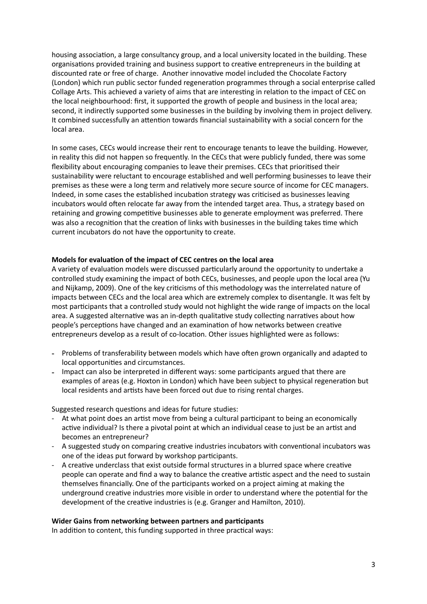housing association, a large consultancy group, and a local university located in the building. These organisations provided training and business support to creative entrepreneurs in the building at discounted rate or free of charge. Another innovative model included the Chocolate Factory (London) which run public sector funded regeneration programmes through a social enterprise called Collage Arts. This achieved a variety of aims that are interesting in relation to the impact of CEC on the local neighbourhood: first, it supported the growth of people and business in the local area; second, it indirectly supported some businesses in the building by involving them in project delivery. It combined successfully an attention towards financial sustainability with a social concern for the local area.

In some cases, CECs would increase their rent to encourage tenants to leave the building. However, in reality this did not happen so frequently. In the CECs that were publicly funded, there was some flexibility about encouraging companies to leave their premises. CECs that prioritised their sustainability were reluctant to encourage established and well performing businesses to leave their premises as these were a long term and relatively more secure source of income for CEC managers. Indeed, in some cases the established incubation strategy was criticised as businesses leaving incubators would often relocate far away from the intended target area. Thus, a strategy based on retaining and growing competitive businesses able to generate employment was preferred. There was also a recognition that the creation of links with businesses in the building takes time which current incubators do not have the opportunity to create.

### **Models for evaluation of the impact of CEC centres on the local area**

A variety of evaluation models were discussed particularly around the opportunity to undertake a controlled study examining the impact of both CECs, businesses, and people upon the local area (Yu and Nijkamp, 2009). One of the key criticisms of this methodology was the interrelated nature of impacts between CECs and the local area which are extremely complex to disentangle. It was felt by most participants that a controlled study would not highlight the wide range of impacts on the local area. A suggested alternative was an in-depth qualitative study collecting narratives about how people's perceptions have changed and an examination of how networks between creative entrepreneurs develop as a result of co-location. Other issues highlighted were as follows:

- Problems of transferability between models which have often grown organically and adapted to local opportunities and circumstances.
- Impact can also be interpreted in different ways: some participants argued that there are examples of areas (e.g. Hoxton in London) which have been subject to physical regeneration but local residents and artists have been forced out due to rising rental charges.

Suggested research questions and ideas for future studies:

- At what point does an artist move from being a cultural participant to being an economically active individual? Is there a pivotal point at which an individual cease to just be an artist and becomes an entrepreneur?
- A suggested study on comparing creative industries incubators with conventional incubators was one of the ideas put forward by workshop participants.
- A creative underclass that exist outside formal structures in a blurred space where creative people can operate and find a way to balance the creative artistic aspect and the need to sustain themselves financially. One of the participants worked on a project aiming at making the underground creative industries more visible in order to understand where the potential for the development of the creative industries is (e.g. Granger and Hamilton, 2010).

### **Wider Gains from networking between partners and participants**

In addition to content, this funding supported in three practical ways: